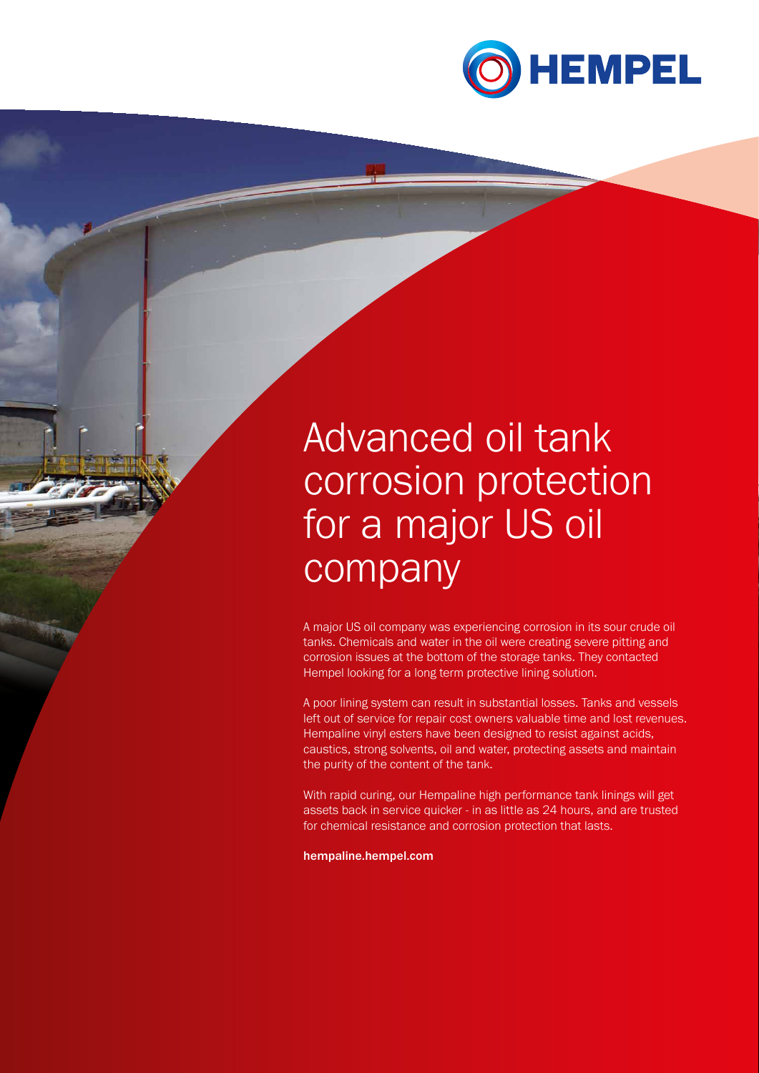

# Advanced oil tank corrosion protection for a major US oil company

A major US oil company was experiencing corrosion in its sour crude oil tanks. Chemicals and water in the oil were creating severe pitting and corrosion issues at the bottom of the storage tanks. They contacted Hempel looking for a long term protective lining solution.

A poor lining system can result in substantial losses. Tanks and vessels left out of service for repair cost owners valuable time and lost revenues. Hempaline vinyl esters have been designed to resist against acids, caustics, strong solvents, oil and water, protecting assets and maintain the purity of the content of the tank.

With rapid curing, our Hempaline high performance tank linings will get assets back in service quicker - in as little as 24 hours, and are trusted for chemical resistance and corrosion protection that lasts.

hempaline.hempel.com